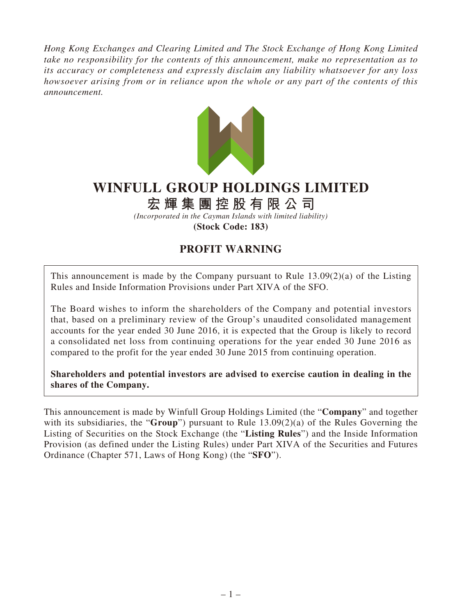*Hong Kong Exchanges and Clearing Limited and The Stock Exchange of Hong Kong Limited take no responsibility for the contents of this announcement, make no representation as to its accuracy or completeness and expressly disclaim any liability whatsoever for any loss howsoever arising from or in reliance upon the whole or any part of the contents of this announcement.*



## **WINFULL GROUP HOLDINGS LIMITED**

## **宏輝集團控股有限公司**

*(Incorporated in the Cayman Islands with limited liability)* **(Stock Code: 183)**

## **PROFIT WARNING**

This announcement is made by the Company pursuant to Rule  $13.09(2)(a)$  of the Listing Rules and Inside Information Provisions under Part XIVA of the SFO.

The Board wishes to inform the shareholders of the Company and potential investors that, based on a preliminary review of the Group's unaudited consolidated management accounts for the year ended 30 June 2016, it is expected that the Group is likely to record a consolidated net loss from continuing operations for the year ended 30 June 2016 as compared to the profit for the year ended 30 June 2015 from continuing operation.

**Shareholders and potential investors are advised to exercise caution in dealing in the shares of the Company.**

This announcement is made by Winfull Group Holdings Limited (the "**Company**" and together with its subsidiaries, the "**Group**") pursuant to Rule 13.09(2)(a) of the Rules Governing the Listing of Securities on the Stock Exchange (the "**Listing Rules**") and the Inside Information Provision (as defined under the Listing Rules) under Part XIVA of the Securities and Futures Ordinance (Chapter 571, Laws of Hong Kong) (the "**SFO**").